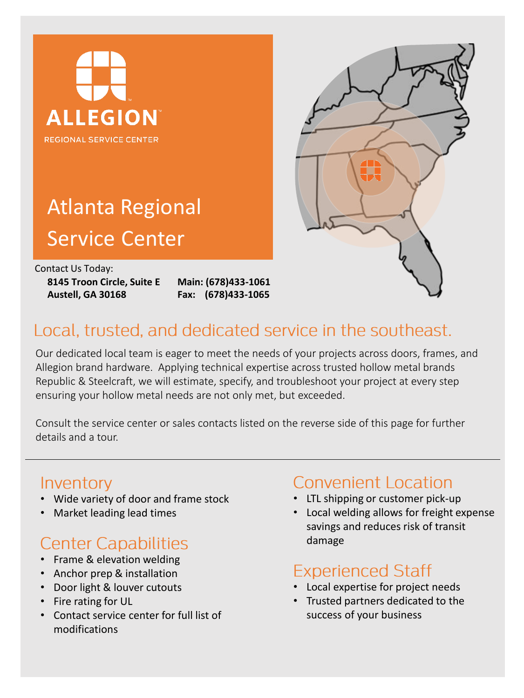

# Atlanta Regional Service Center

Contact Us Today:

**8145 Troon Circle, Suite E Austell, GA 30168**

**Main: (678)433-1061 Fax: (678)433-1065**



## Local, trusted, and dedicated service in the southeast.

Our dedicated local team is eager to meet the needs of your projects across doors, frames, and Allegion brand hardware. Applying technical expertise across trusted hollow metal brands Republic & Steelcraft, we will estimate, specify, and troubleshoot your project at every step ensuring your hollow metal needs are not only met, but exceeded.

Consult the service center or sales contacts listed on the reverse side of this page for further details and a tour.

### Inventory

- Wide variety of door and frame stock
- Market leading lead times

# **Center Capabilities**

- Frame & elevation welding
- Anchor prep & installation
- Door light & louver cutouts
- Fire rating for UL
- Contact service center for full list of modifications

### Convenient Location

- LTL shipping or customer pick-up
- Local welding allows for freight expense savings and reduces risk of transit damage

### **Experienced Staff**

- Local expertise for project needs
- Trusted partners dedicated to the success of your business